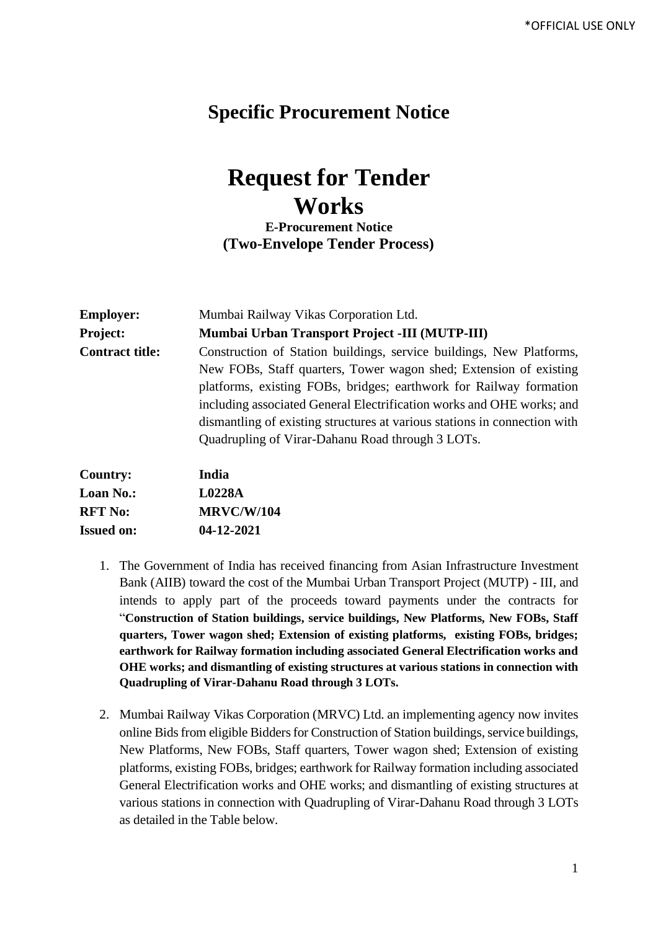## **Specific Procurement Notice**

## **Request for Tender Works**

**E-Procurement Notice (Two-Envelope Tender Process)**

| <b>Employer:</b>       | Mumbai Railway Vikas Corporation Ltd.                                     |  |  |
|------------------------|---------------------------------------------------------------------------|--|--|
| <b>Project:</b>        | Mumbai Urban Transport Project -III (MUTP-III)                            |  |  |
| <b>Contract title:</b> | Construction of Station buildings, service buildings, New Platforms,      |  |  |
|                        | New FOBs, Staff quarters, Tower wagon shed; Extension of existing         |  |  |
|                        | platforms, existing FOBs, bridges; earthwork for Railway formation        |  |  |
|                        | including associated General Electrification works and OHE works; and     |  |  |
|                        | dismantling of existing structures at various stations in connection with |  |  |
|                        | Quadrupling of Virar-Dahanu Road through 3 LOTs.                          |  |  |
| $C_{\alpha}$ untru     | India                                                                     |  |  |

| <b>Country:</b>   | India             |
|-------------------|-------------------|
| <b>Loan No.:</b>  | L0228A            |
| <b>RFT No:</b>    | <b>MRVC/W/104</b> |
| <b>Issued on:</b> | 04-12-2021        |

- 1. The Government of India has received financing from Asian Infrastructure Investment Bank (AIIB) toward the cost of the Mumbai Urban Transport Project (MUTP) - III, and intends to apply part of the proceeds toward payments under the contracts for "**Construction of Station buildings, service buildings, New Platforms, New FOBs, Staff quarters, Tower wagon shed; Extension of existing platforms, existing FOBs, bridges; earthwork for Railway formation including associated General Electrification works and OHE works; and dismantling of existing structures at various stations in connection with Quadrupling of Virar-Dahanu Road through 3 LOTs.**
- 2. Mumbai Railway Vikas Corporation (MRVC) Ltd. an implementing agency now invites online Bids from eligible Bidders for Construction of Station buildings, service buildings, New Platforms, New FOBs, Staff quarters, Tower wagon shed; Extension of existing platforms, existing FOBs, bridges; earthwork for Railway formation including associated General Electrification works and OHE works; and dismantling of existing structures at various stations in connection with Quadrupling of Virar-Dahanu Road through 3 LOTs as detailed in the Table below.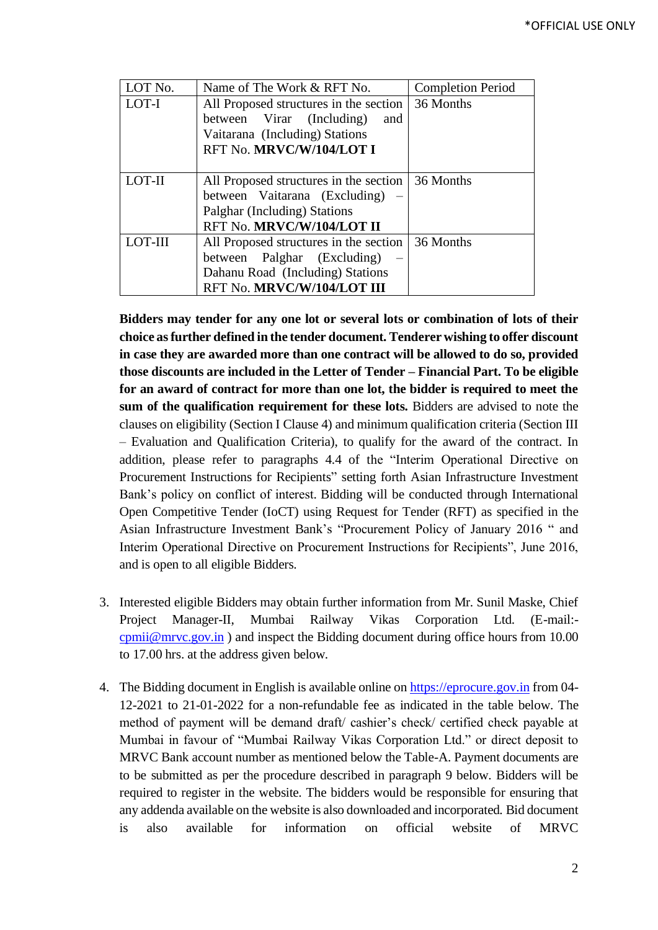| LOT No. | Name of The Work & RFT No.             | <b>Completion Period</b> |
|---------|----------------------------------------|--------------------------|
| LOT-I   | All Proposed structures in the section | 36 Months                |
|         | between Virar (Including)<br>and       |                          |
|         | Vaitarana (Including) Stations         |                          |
|         | RFT No. MRVC/W/104/LOT I               |                          |
|         |                                        |                          |
| LOT-II  | All Proposed structures in the section | 36 Months                |
|         | between Vaitarana (Excluding)          |                          |
|         | Palghar (Including) Stations           |                          |
|         | RFT No. MRVC/W/104/LOT II              |                          |
| LOT-III | All Proposed structures in the section | 36 Months                |
|         | between Palghar (Excluding)            |                          |
|         | Dahanu Road (Including) Stations       |                          |
|         | RFT No. MRVC/W/104/LOT III             |                          |

**Bidders may tender for any one lot or several lots or combination of lots of their choice as further defined in the tender document. Tenderer wishing to offer discount in case they are awarded more than one contract will be allowed to do so, provided those discounts are included in the Letter of Tender – Financial Part. To be eligible for an award of contract for more than one lot, the bidder is required to meet the sum of the qualification requirement for these lots.** Bidders are advised to note the clauses on eligibility (Section I Clause 4) and minimum qualification criteria (Section III – Evaluation and Qualification Criteria), to qualify for the award of the contract. In addition, please refer to paragraphs 4.4 of the "Interim Operational Directive on Procurement Instructions for Recipients" setting forth Asian Infrastructure Investment Bank's policy on conflict of interest. Bidding will be conducted through International Open Competitive Tender (IoCT) using Request for Tender (RFT) as specified in the Asian Infrastructure Investment Bank's "Procurement Policy of January 2016 " and Interim Operational Directive on Procurement Instructions for Recipients", June 2016, and is open to all eligible Bidders.

- 3. Interested eligible Bidders may obtain further information from Mr. Sunil Maske, Chief Project Manager-II, Mumbai Railway Vikas Corporation Ltd. (E-mail: [cpmii@mrvc.gov.in](mailto:cpmii@mrvc.gov.in) ) and inspect the Bidding document during office hours from 10.00 to 17.00 hrs. at the address given below*.*
- 4. The Bidding document in English is available online on [https://eprocure.gov.in](https://eprocure.gov.in/) from 04- 12-2021 to 21-01-2022 for a non-refundable fee as indicated in the table below. The method of payment will be demand draft/ cashier's check/ certified check payable at Mumbai in favour of "Mumbai Railway Vikas Corporation Ltd." or direct deposit to MRVC Bank account number as mentioned below the Table-A. Payment documents are to be submitted as per the procedure described in paragraph 9 below. Bidders will be required to register in the website. The bidders would be responsible for ensuring that any addenda available on the website is also downloaded and incorporated*.* Bid document is also available for information on official website of MRVC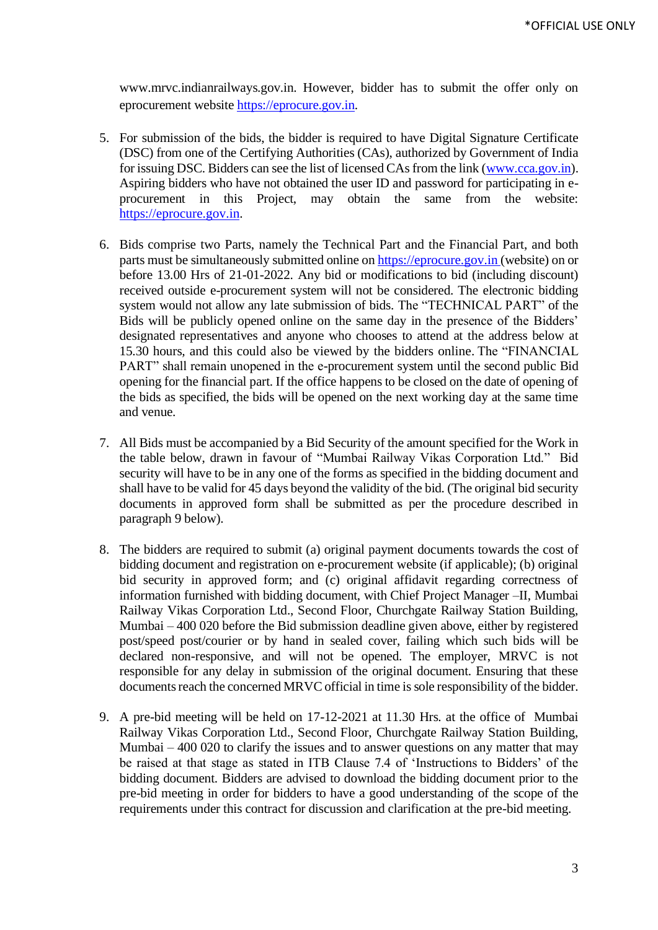www.mrvc.indianrailways.gov.in. However, bidder has to submit the offer only on eprocurement website [https://eprocure.gov.in.](https://eprocure.gov.in/)

- 5. For submission of the bids, the bidder is required to have Digital Signature Certificate (DSC) from one of the Certifying Authorities (CAs), authorized by Government of India for issuing DSC. Bidders can see the list of licensed CAs from the link [\(www.cca.gov.in\)](http://www.cca.gov.in/). Aspiring bidders who have not obtained the user ID and password for participating in eprocurement in this Project, may obtain the same from the website: [https://eprocure.gov.in.](https://eprocure.gov.in/)
- 6. Bids comprise two Parts, namely the Technical Part and the Financial Part, and both parts must be simultaneously submitted online o[n https://eprocure.gov.in](https://eprocure.gov.in/) (website) on or before 13.00 Hrs of 21-01-2022. Any bid or modifications to bid (including discount) received outside e-procurement system will not be considered. The electronic bidding system would not allow any late submission of bids. The "TECHNICAL PART" of the Bids will be publicly opened online on the same day in the presence of the Bidders' designated representatives and anyone who chooses to attend at the address below at 15.30 hours*,* and this could also be viewed by the bidders online. The "FINANCIAL PART" shall remain unopened in the e-procurement system until the second public Bid opening for the financial part. If the office happens to be closed on the date of opening of the bids as specified, the bids will be opened on the next working day at the same time and venue.
- 7. All Bids must be accompanied by a Bid Security of the amount specified for the Work in the table below, drawn in favour of "Mumbai Railway Vikas Corporation Ltd." Bid security will have to be in any one of the forms as specified in the bidding document and shall have to be valid for 45 days beyond the validity of the bid. (The original bid security documents in approved form shall be submitted as per the procedure described in paragraph 9 below).
- 8. The bidders are required to submit (a) original payment documents towards the cost of bidding document and registration on e-procurement website (if applicable); (b) original bid security in approved form; and (c) original affidavit regarding correctness of information furnished with bidding document, with Chief Project Manager –II, Mumbai Railway Vikas Corporation Ltd., Second Floor, Churchgate Railway Station Building, Mumbai – 400 020 before the Bid submission deadline given above, either by registered post/speed post/courier or by hand in sealed cover, failing which such bids will be declared non-responsive, and will not be opened. The employer, MRVC is not responsible for any delay in submission of the original document. Ensuring that these documents reach the concerned MRVC official in time is sole responsibility of the bidder.
- 9. A pre-bid meeting will be held on 17-12-2021 at 11.30 Hrs. at the office of Mumbai Railway Vikas Corporation Ltd., Second Floor, Churchgate Railway Station Building, Mumbai – 400 020 to clarify the issues and to answer questions on any matter that may be raised at that stage as stated in ITB Clause 7.4 of 'Instructions to Bidders' of the bidding document. Bidders are advised to download the bidding document prior to the pre-bid meeting in order for bidders to have a good understanding of the scope of the requirements under this contract for discussion and clarification at the pre-bid meeting.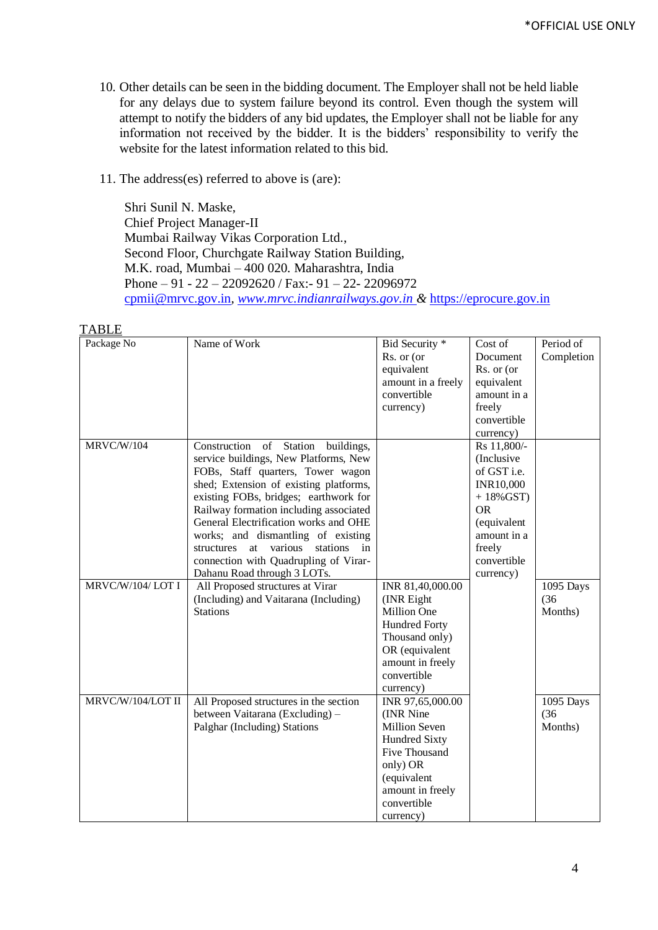- 10. Other details can be seen in the bidding document. The Employer shall not be held liable for any delays due to system failure beyond its control. Even though the system will attempt to notify the bidders of any bid updates, the Employer shall not be liable for any information not received by the bidder. It is the bidders' responsibility to verify the website for the latest information related to this bid.
- 11. The address(es) referred to above is (are):

Shri Sunil N. Maske, Chief Project Manager-II Mumbai Railway Vikas Corporation Ltd., Second Floor, Churchgate Railway Station Building, M.K. road, Mumbai – 400 020. Maharashtra, India Phone – 91 - 22 – 22092620 / Fax:- 91 – 22- 22096972 [cpmii@mrvc.gov.in](mailto:cpmii@mrvc.gov.in)*, [www.mrvc.indianrailways.gov.in](http://www.mrvc.indianrailways.gov.in/) &* [https://eprocure.gov.in](https://eprocure.gov.in/)

| .<br>Package No   | Name of Work                               | Bid Security *       | Cost of          | Period of  |
|-------------------|--------------------------------------------|----------------------|------------------|------------|
|                   |                                            | Rs. or (or           | Document         |            |
|                   |                                            |                      |                  | Completion |
|                   |                                            | equivalent           | Rs. or (or       |            |
|                   |                                            | amount in a freely   | equivalent       |            |
|                   |                                            | convertible          | amount in a      |            |
|                   |                                            | currency)            | freely           |            |
|                   |                                            |                      | convertible      |            |
|                   |                                            |                      | currency)        |            |
| MRVC/W/104        | Construction of Station<br>buildings,      |                      | Rs 11,800/-      |            |
|                   | service buildings, New Platforms, New      |                      | (Inclusive       |            |
|                   | FOBs, Staff quarters, Tower wagon          |                      | of GST i.e.      |            |
|                   | shed; Extension of existing platforms,     |                      | <b>INR10,000</b> |            |
|                   | existing FOBs, bridges; earthwork for      |                      | $+18\%$ GST)     |            |
|                   | Railway formation including associated     |                      | <b>OR</b>        |            |
|                   | General Electrification works and OHE      |                      | (equivalent      |            |
|                   | works; and dismantling of existing         |                      | amount in a      |            |
|                   | structures<br>at various<br>stations<br>in |                      | freely           |            |
|                   | connection with Quadrupling of Virar-      |                      | convertible      |            |
|                   | Dahanu Road through 3 LOTs.                |                      | currency)        |            |
| MRVC/W/104/LOT I  | All Proposed structures at Virar           | INR 81,40,000.00     |                  | 1095 Days  |
|                   | (Including) and Vaitarana (Including)      | (INR Eight           |                  | (36)       |
|                   | <b>Stations</b>                            | Million One          |                  | Months)    |
|                   |                                            | Hundred Forty        |                  |            |
|                   |                                            | Thousand only)       |                  |            |
|                   |                                            | OR (equivalent       |                  |            |
|                   |                                            | amount in freely     |                  |            |
|                   |                                            | convertible          |                  |            |
|                   |                                            | currency)            |                  |            |
| MRVC/W/104/LOT II | All Proposed structures in the section     | INR 97,65,000.00     |                  | 1095 Days  |
|                   | between Vaitarana (Excluding) -            | (INR Nine            |                  | (36)       |
|                   | Palghar (Including) Stations               | <b>Million Seven</b> |                  | Months)    |
|                   |                                            | <b>Hundred Sixty</b> |                  |            |
|                   |                                            | <b>Five Thousand</b> |                  |            |
|                   |                                            | only) OR             |                  |            |
|                   |                                            | (equivalent          |                  |            |
|                   |                                            | amount in freely     |                  |            |
|                   |                                            | convertible          |                  |            |
|                   |                                            | currency)            |                  |            |